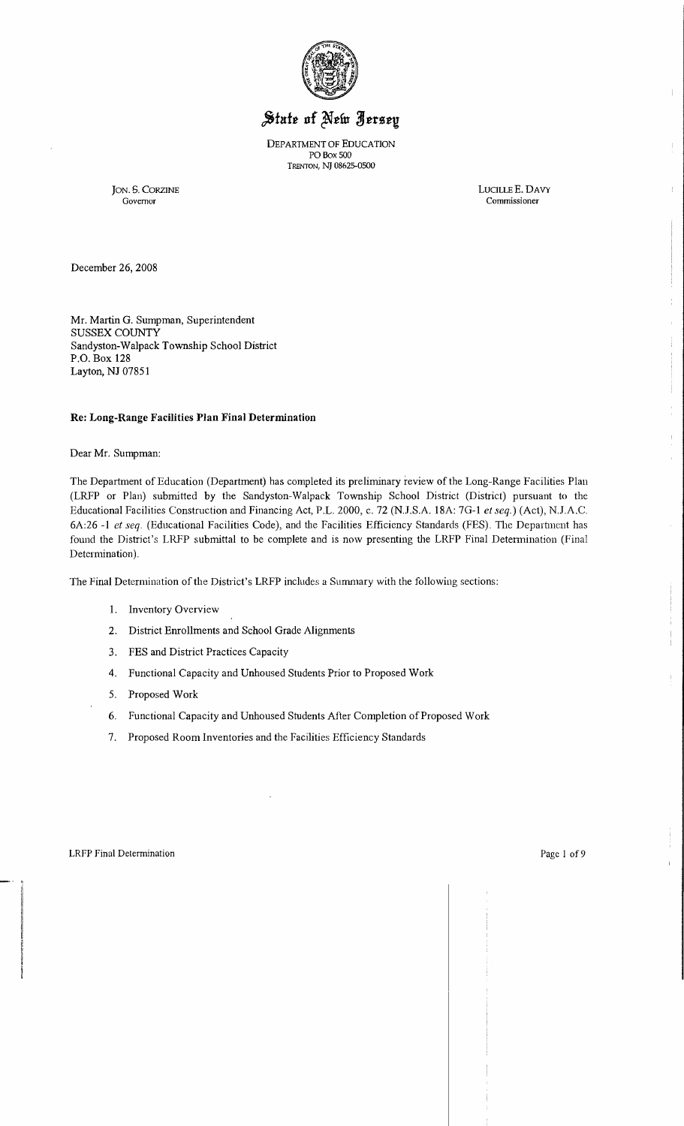

# State of New Jersey

DEPARTMENT OF EDUCATION PO Box 500 TRENTON, NJ 08625-0500

JON. S. CORZINE LUCILLE E. DAVY Commissioner LUCILLE E. DAVY Commissioner Commissioner

December 26, 2008

Mr. Martin G. Sumpman, Superintendent SUSSEX COUNTY Sandyston-Walpack Township School District P.O. Box 128 Layton, NJ 07851

#### **Re: Long-Range Facilities Plan Final Determination**

#### Dear Mr. Sumpman:

The Department of Education (Department) has completed its preliminary review of the Long-Range Facilities Plan (LRFP or Plan) submitted by the Sandyston-Walpack Township School District (District) pursuant to the Educational Facilities Constmction and Financing Act, P.L. 2000, c. 72 (NJ.S.A. 18A: 7G-l *et seq.)* (Act), NJ.A.C. 6A:26 -1 *et seq.* (Educational Facilities Code), and the Facilities Efficiency Standards (FES). The Deparhncnt has found the District's LRFP submittal to be complete and is now presenting the LRFP Final Detennination (Final Determination).

The Final Determination of the District's LRFP includes a Summary with the following sections:

- 1. Inventory Overview
- 2. District Emollments and School Grade Alignments
- 3. FES and District Practices Capacity
- 4. Functional Capacity and Unhoused Students Prior to Proposed Work
- 5. Proposed Work
- 6. Functional Capacity and Unhoused Students After Completion of Proposed Work
- 7. Proposed Room Inventories and the Facilities Efficiency Standards

 $\mathbf{I}^{\top}$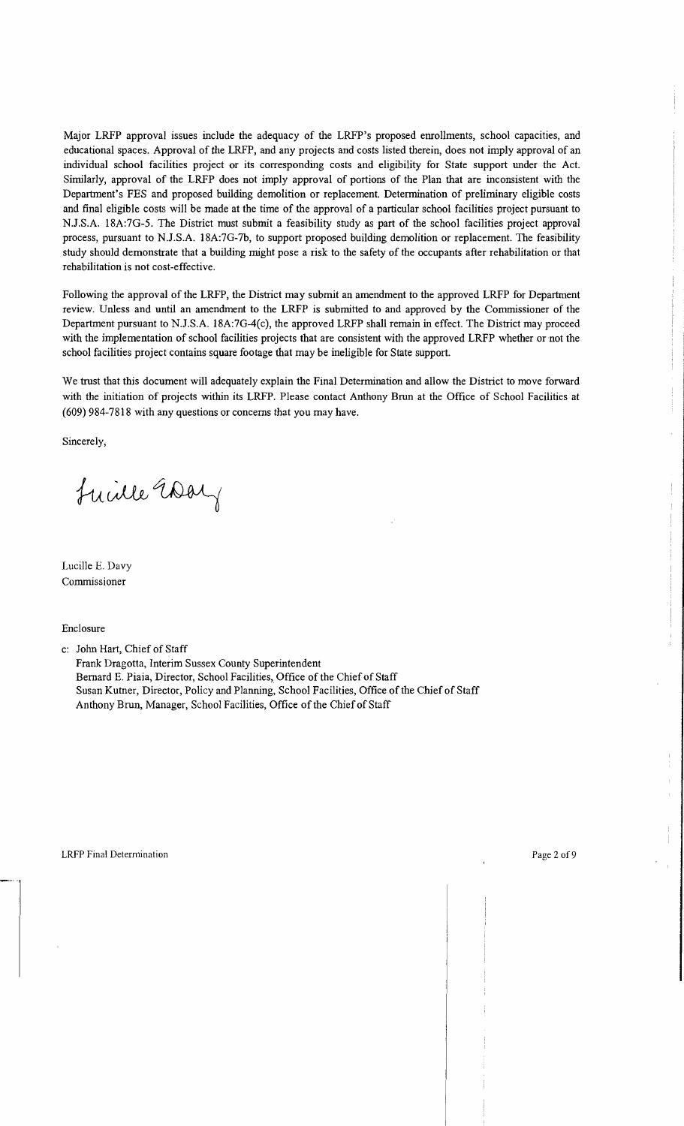Major LRFP approval issues include the adequacy of the LRFP's proposed emollments, school capacities, and educational spaces. Approval of the LRFP, and any projects and costs listed therein, does not imply approval of an individual school facilities project or its corresponding costs and eligibility for State support under the Act. Similarly, approval of the LRFP does not imply approval of portions of the Plan that are inconsistent with the Department's FES and proposed building demolition or replacement. Detennination of preliminary eligible costs and final eligible costs will be made at the time of the approval of a particular school facilities project pursuant to NJ.S.A. 18A:7G-5. The District must submit a feasibility study as part of the school facilities project approval process, pursuant to NJ.S.A. 18A:7G-7b, to support proposed building demolition or replacement. The feasibility study should demonstrate that a building might pose a risk to the safety of the occupants after rehabilitation or that rehabilitation is not cost-effective.

Following the approval of the LRFP, the District may submit an amendment to the approved LRFP for Department review. Unless and until an amendment to the LRFP is submitted to and approved by the Commissioner of the Department pursuant to NJ.S.A. 18A:7G-4(c), the approved LRFP shall remain in effect. The District may proceed with the implementation of school facilities projects that are consistent with the approved LRFP whether or not the school facilities project contains square footage that may be ineligible for State support.

We trust that this document will adequately explain the Final Determination and allow the District to move forward with the initiation of projects within its LRFP. Please contact Anthony Brun at the Office of School Facilities at (609) 984-7818 with any questions or concerns that you may have.

Sincerely,

Lucille Way

Lucille E. Davy Commissioner

Enclosure

c: John Hart, Chief of Staff

Frank Dragotta, Interim Sussex County Superintendent Bernard E. Piaia, Director, School Facilities, Office of the Chief of Staff Susan Kutner, Director, Policy and Planning, School Facilities, Office of the Chief of Staff Anthony Brun, Manager, School Facilities, Office of the Chief of Staff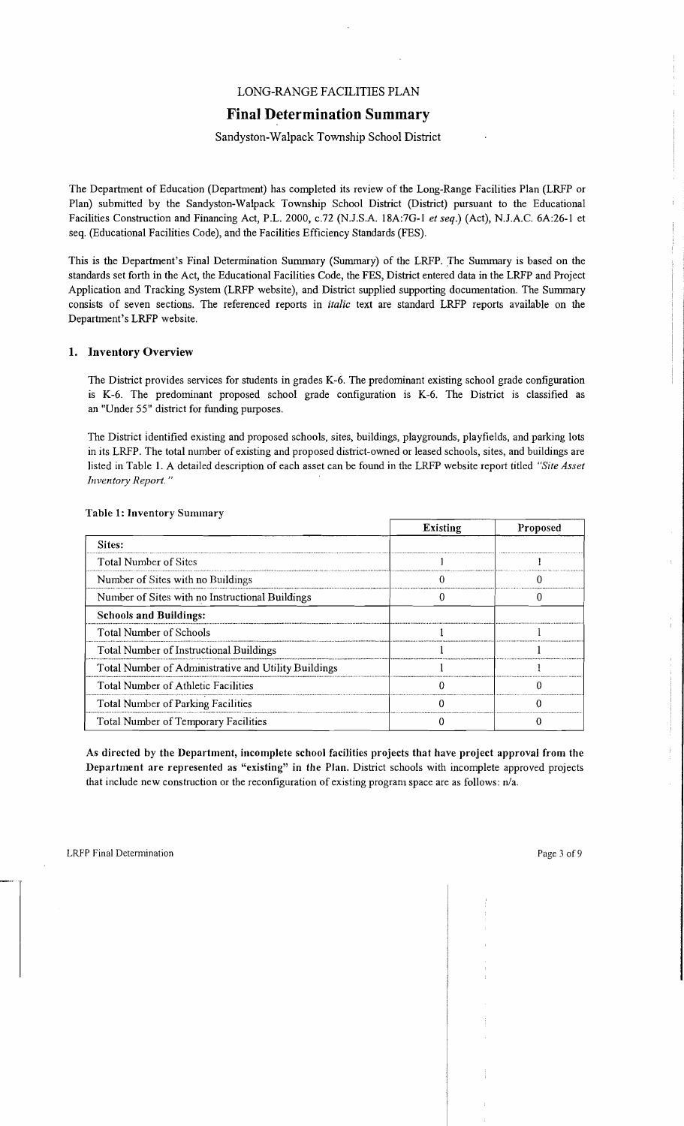# LONG-RANGE FACILITIES PLAN

# **Final Determination Summary**

# Sandyston-Walpack Township School District

The Department of Education (Department) has completed its review of the Long-Range Facilities Plan (LRFP or Plan) submitted by the Sandyston-Walpack Township School District (District) pursuant to the Educational Facilities Construction and Financing Act, P.L. 2000, *c.72* (N.J.S.A. 18A:7G-1 *et seq.*) (Act), N.J.A.C. 6A:26-1 et seq. (Educational Facilities Code), and the Facilities Efficiency Standards (FES).

This is the Department's Final Determination Summary (Summary) of the LRFP..The Summary is based on the standards set forth in the Act, the Educational Facilities Code, the FES, District entered data in the LRFP and Project Application and Tracking System (LRFP website), and District supplied supporting documentation. The Summary consists of seven sections. The referenced reports in *italic* text are standard LRFP reports available on the Department's LRFP website.

# 1. Inventory Overview

The District provides services for students in grades K-6. The predominant existing school grade configuration is K-6. The predominant proposed school grade configuration is K-6. The District is classified as an "Under 55" district for funding purposes.

The District Identified existing and proposed schools, sites, buildings, playgrounds, playfields, and parking lots in its LRFP. The total number of existing and proposed district-owned or leased schools, sites, and buildings are listed in Table 1. A detailed description of each asset can be found in the LRFP website report titled *"Site Asset Inventory Report. "* 

|                                                      | <b>Existing</b> | Proposed |
|------------------------------------------------------|-----------------|----------|
| Sites:                                               |                 |          |
| <b>Total Number of Sites</b>                         |                 |          |
| Number of Sites with no Buildings                    |                 |          |
| Number of Sites with no Instructional Buildings      |                 |          |
| <b>Schools and Buildings:</b>                        |                 |          |
| <b>Total Number of Schools</b>                       |                 |          |
| Total Number of Instructional Buildings              |                 |          |
| Total Number of Administrative and Utility Buildings |                 |          |
| Total Number of Athletic Facilities                  |                 |          |
| Total Number of Parking Facilities                   |                 |          |
| Total Number of Temporary Facilities                 |                 |          |

#### Table 1: Inventory Summary

As directed by the Department, incomplete school facilities projects that have project approval from the Department are represented as "existing" in the Plan. District schools with incomplete approved projects that include new construction or the reconfiguration of existing program space are as follows:  $n/a$ .

Y.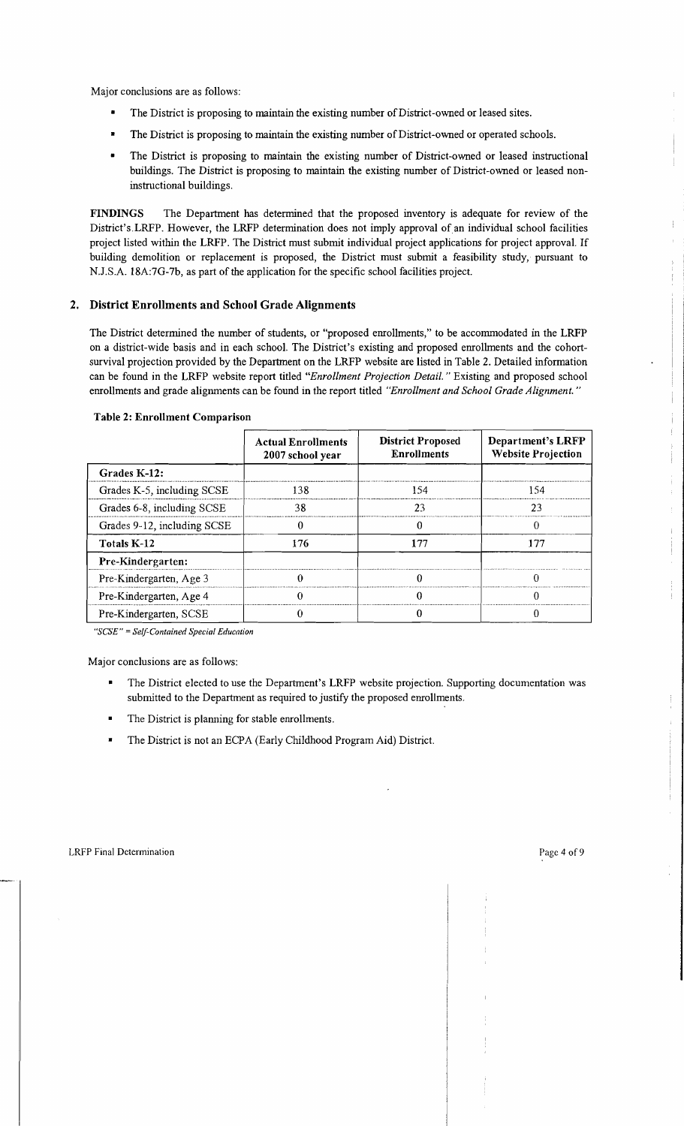Major conclusions are as follows:

- The District is proposing to maintain the existing number of District-owned or leased sites.
- The District is proposing to maintain the existing number of District-owned or operated schools.
- The District is proposing to maintain the existing number of District-owned or leased instructional buildings. The District is proposing to maintain the existing number of District-owned or leased noninstructional buildings.

FINDINGS The Department has determined that the proposed inventory is adequate for review of the District'sLRFP. However, the LRFP determination does not imply approval of an individual school facilities project listed within the LRFP. The District must submit individual project applications for project approval. If building demolition or replacement is proposed, the District must submit a feasibility study, pursuant to NJ.S.A. 18A:7G-7b, as part of the application for the specific school facilities project.

# 2. District Enrollments and School Grade Alignments

The District determined the number of students, or "proposed emollments," to be accommodated in the LRFP on a district-wide basis and in each school. The District's existing and proposed emollments and the cohortsurvival projection provided by the Department on the LRFP website are listed in Table 2. Detailed information can be found in the LRFP website report titled *"Enrollment Projection Detail.* " Existing and proposed school emollments and grade alignments can be found in the report titled *"Enrollment and School Grade Alignment. "* 

|                             | <b>Actual Enrollments</b><br>2007 school year | <b>District Proposed</b><br><b>Enrollments</b> | Department's LRFP<br><b>Website Projection</b> |
|-----------------------------|-----------------------------------------------|------------------------------------------------|------------------------------------------------|
| Grades K-12:                |                                               |                                                |                                                |
| Grades K-5, including SCSE  | 138                                           | 154                                            | 154                                            |
| Grades 6-8, including SCSE  | 38                                            | 23                                             | フィ                                             |
| Grades 9-12, including SCSE |                                               |                                                |                                                |
| Totals K-12                 | 176                                           | 177                                            | 177                                            |
| Pre-Kindergarten:           |                                               |                                                |                                                |
| Pre-Kindergarten, Age 3     |                                               |                                                |                                                |
| Pre-Kindergarten, Age 4     |                                               |                                                |                                                |
| Pre-Kindergarten, SCSE      |                                               |                                                |                                                |

#### Table 2: Enrollment Comparison

*"SCSE"* =*Self-Contained Special Education* 

Major conclusions are as follows:

- The District elected to use the Department's LRFP website projection. Supporting documentation was submitted to the Department as required to justify the proposed emollments.
- The District is planning for stable enrollments.
- The District is not an ECPA (Early Childhood Program Aid) District.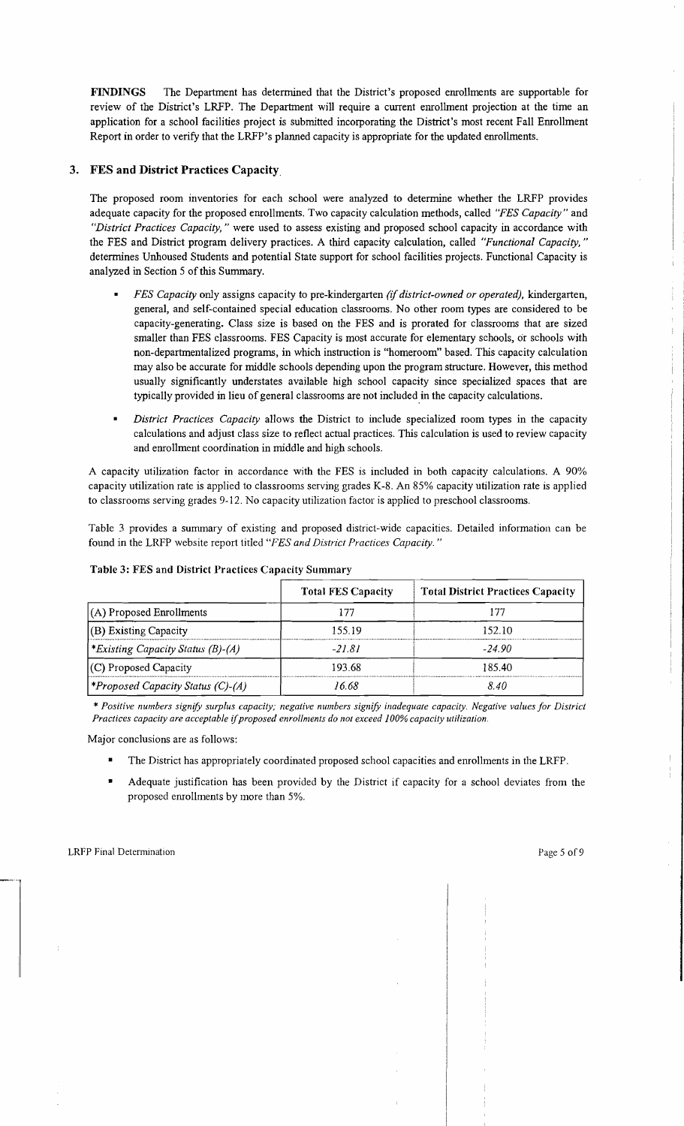FINDINGS The Department has determined that the District's proposed enrollments are supportable for review of the District's LRFP. The Department will require a current enrollment projection at the time an application for a school facilities project is submitted incorporating the District's most recent Fall Enrollment Report in order to verify that the LRFP's planned capacity is appropriate for the updated enrollments.

# 3. FES and District Practices Capacity.

The proposed room inventories for each school were analyzed to determine whether the LRFP provides adequate capacity for the proposed emollments. Two capacity calculation methods, called *"FES Capacity"* and *"District Practices Capacity,"* were used to assess existing and proposed school capacity in accordance with the FES and District program delivery practices. A third capacity calculation, called *"Functional Capacity, "*  determines Unhoused Students and potential State support for school facilities projects. Functional Capacity is analyzed in Section 5 of this Summary.

- *FES Capacity* only assigns capacity to pre-kindergarten *(if district-owned or operated),* kindergarten, general, and self-contained special education classrooms. No other room types are considered to be capacity-generating. Class size is based on the FES and is prorated for classrooms that are sized smaller than FES classrooms. FES Capacity is most accurate for elementary schools, or schools with non-departmentalized programs, in which instruction is "homeroom" based. This capacity calculation may also be accurate for middle schools depending upon the program structure. However, this method usually significantly understates available high school capacity since specialized spaces that are typically provided in lieu of general classrooms are not included in the capacity calculations.
- *District Practices Capacity* allows the District to include specialized room types in the capacity calculations and adjust class size to reflect actual practices. This calculation is used to review capacity and enrollment coordination in middle and high schools.

A capacity utilization factor in accordance with the FES is included in both capacity calculations. A 90% capacity utilization rate is applied to classrooms serving grades K-8. An 85% capacity utilization rate is applied to classrooms serving grades 9-12. No capacity utilization factor is applied to preschool classrooms.

Table 3 provides a summary of existing and proposed district-wide capacities. Detailed information can be found in the LRFP website report titled *"FES and District Practices Capacity. "* 

|                                                 | <b>Total FES Capacity</b> | <b>Total District Practices Capacity</b> |
|-------------------------------------------------|---------------------------|------------------------------------------|
| $(A)$ Proposed Enrollments                      | 177                       | 177                                      |
| (B) Existing Capacity                           | 155.19                    | 152.10                                   |
| <i>Existing Capacity Status (B)-(A)</i>         | $-21.81$                  | $-24.90$                                 |
| (C) Proposed Capacity                           | 193.68                    | 185.40                                   |
| <i><b>*Proposed Capacity Status (C)-(A)</b></i> | 16.68                     | 8.40                                     |

#### Table 3: FES and District Practices Capacity Summary

*\* Positive numbers signifY surplus capacity; negative numbers signify inadequate capacity. Negative values for District Practices capacity are acceptable if proposed enrollments do not exceed 100% capacity utilization.* 

Major conclusions are as follows:

- The District has appropriately coordinated proposed school capacities and enrollments in the LRFP.
- Adequate justification has been provided by the District if capacity for a school deviates from the proposed enrollments by more than 5%.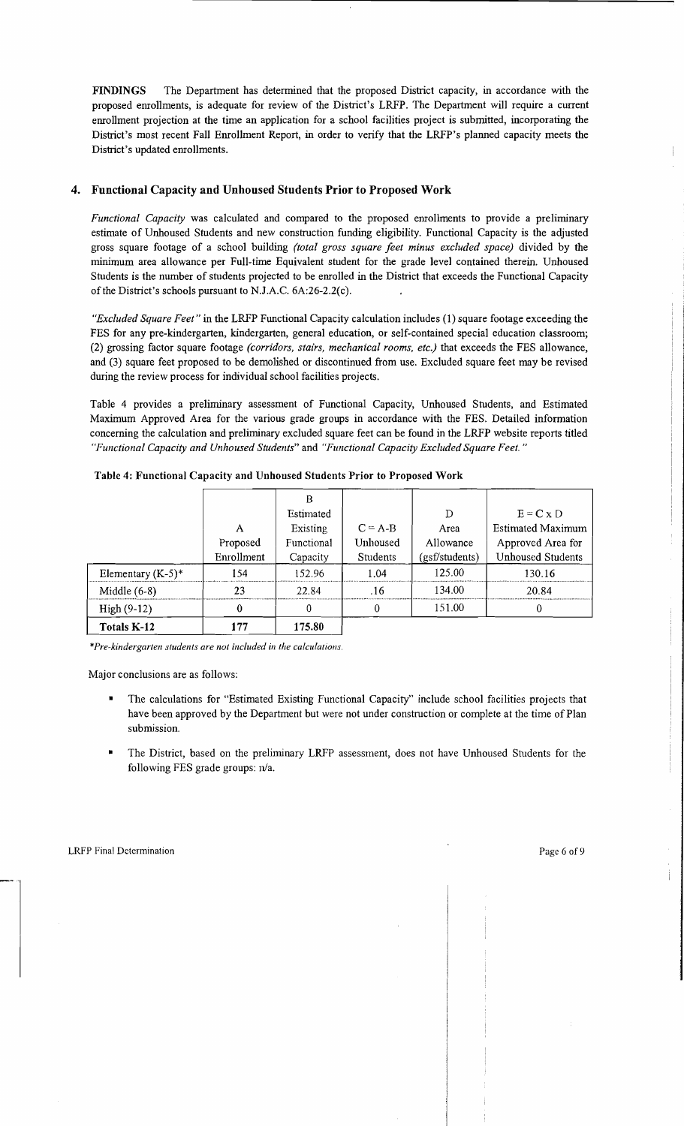FINDINGS The Department has determined that the proposed District capacity, in accordance with the proposed enrollments, is adequate for review of the District's LRFP. The Department will require a current enrollment projection at the time an application for a school facilities project is submitted, incorporating the District's most recent Fall Enrollment Report, in order to verify that the LRFP's planned capacity meets the District's updated enrollments.

# 4. Functional Capacity and Unhoused Students Prior to Proposed Work

*Functional Capacity* was calculated and compared to the proposed enrollments to provide a preliminary estimate of Unhoused Students and new construction funding eligibility. Functional Capacity is the adjusted gross square footage of a school building *(total gross square feet minus excluded space)* divided by the minimum area allowance per Full-time Equivalent student for the grade level contained therein. Unhoused Students is the number of students projected to be enrolled in the District that exceeds the Functional Capacity of the District's schools pursuant to N.J.A.C. 6A:26-2.2(c).

*"Excluded Square Feet"* in the LRFP Functional Capacity calculation includes (1) square footage exceeding the FES for any pre-kindergarten, kindergarten, general education, or self-contained special education classroom; (2) grossing factor square footage *(corridors, stairs, mechanical rooms, etc.)* that exceeds the FES allowance, and (3) square feet proposed to be demolished or discontinued from use. Excluded square feet may be revised during the review process for individual school facilities projects.

Table 4 provides a preliminary assessment of Functional Capacity, Unhoused Students, and Estimated Maximum Approved Area for the various grade groups in accordance with the FES. Detailed information concerning the calculation and preliminary excluded square feet can be found in the LRFP website reports titled *"Functional Capacity and Unhoused Students"* and *"Functional Capacity Excluded Square Feet. "* 

| Totals K-12          | 177        | 175.80     |           |                |                          |
|----------------------|------------|------------|-----------|----------------|--------------------------|
| $High (9-12)$        |            | 0          |           | 151.00         |                          |
| Middle $(6-8)$       | 23         | 22.84      | .16       | 134.00         | 20.84                    |
| Elementary $(K-5)^*$ | 154        | 152.96     | 1.04      | 125.00         | 130.16                   |
|                      | Enrollment | Capacity   | Students  | (gsf/students) | <b>Unhoused Students</b> |
|                      | Proposed   | Functional | Unhoused  | Allowance      | Approved Area for        |
|                      | A          | Existing   | $C = A-B$ | Area           | <b>Estimated Maximum</b> |
|                      |            | Estimated  |           | D              | $E = C x D$              |
|                      |            | B          |           |                |                          |
|                      |            |            |           |                |                          |

Table 4: Functional Capacity and Unhoused Students Prior to Proposed Work

*\*Pre-kindergarten students are not included in the calculations.* 

Major conclusions are as follows:

- The calculations for "Estimated Existing Functional Capacity" include school facilities projects that have been approved by the Department but were not under construction or complete at the time of Plan submission.
- The District, based on the preliminary LRFP assessment, does not have Unhoused Students for the following FES grade groups:  $n/a$ .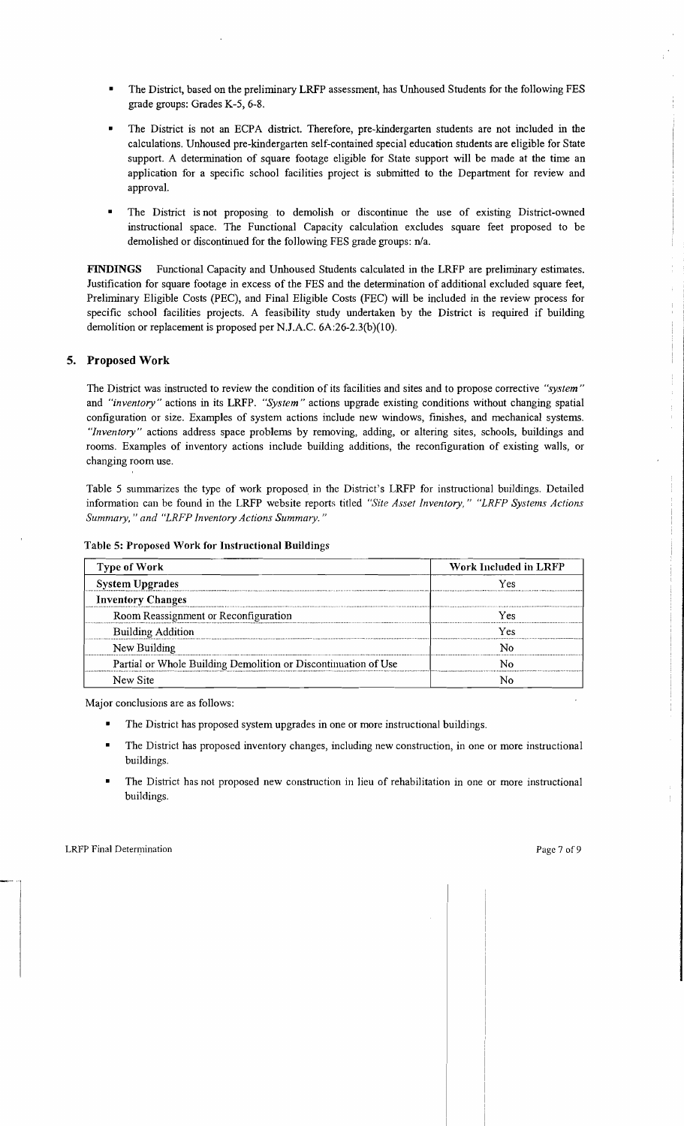- The District, based on the preliminary LRFP assessment, has Unhoused Students for the following FES grade groups: Grades K-5, 6-8.
- The District is not an ECPA district. Therefore, pre-kindergarten students are not included in the calculations. Unhoused pre-kindergarten self-contained special education students are eligible for State support. A determination of square footage eligible for State support will be made at the time an application for a specific school facilities project is submitted to the Department for review and approval.
- The District is not proposing to demolish or discontinue the use of existing District-owned instructional space. The Functional Capacity calculation excludes square feet proposed to be demolished or discontinued for the following FES grade groups: n/a.

FINDINGS Functional Capacity and Unhoused Students calculated in the LRFP are preliminary estimates. Justification for square footage in excess of the FES and the determination of additional excluded square feet, Preliminary Eligible Costs (PEC), and Final Eligible Costs (FEC) will be included in the review process for specific school facilities projects. A feasibility study undertaken by the District is required if building demolition or replacement is proposed per NJ.A.C. 6A:26-2.3(b)(1O).

#### 5. Proposed Work

The District was instructed to review the condition of its facilities and sites and to propose corrective *"system"*  and *"inventory"* actions in its LRFP. *"System"* actions upgrade existing conditions without changing spatial configuration or size. Examples of system actions include new windows, finishes, and mechanical systems. *"Inventory"* actions address space problems by removing, adding, or altering sites, schools, buildings and rooms. Examples of inventory actions include building additions, the reconfiguration of existing walls, or changing room use.

Table 5 summarizes the type of work proposed in the District's LRFP for instructional buildings. Detailed information can be found in the LRFP website reports titled *"S'ite Asset Inventory," "LRFP Systems Actions Summary,* " *and "LRFP Inventory Actions Summary. "* 

| <b>Type of Work</b>                                            | Work Included in LRFP |
|----------------------------------------------------------------|-----------------------|
| <b>System Upgrades</b>                                         | Yes                   |
| <b>Inventory Changes</b>                                       |                       |
| Room Reassignment or Reconfiguration                           | Yes                   |
| <b>Building Addition</b>                                       | Yes                   |
| New Building                                                   |                       |
| Partial or Whole Building Demolition or Discontinuation of Use |                       |
| New Site                                                       |                       |

| Table 5: Proposed Work for Instructional Buildings |  |  |  |  |  |  |
|----------------------------------------------------|--|--|--|--|--|--|
|----------------------------------------------------|--|--|--|--|--|--|

Major conclusions are as follows:

- The District has proposed system upgrades in one or more instructional buildings.
- The District has proposed inventory changes, including new construction, in one or more instructional buildings.
- The District has not proposed new construction in lieu of rehabilitation in one or more instructional buildings.

 $\frac{1}{2}$  .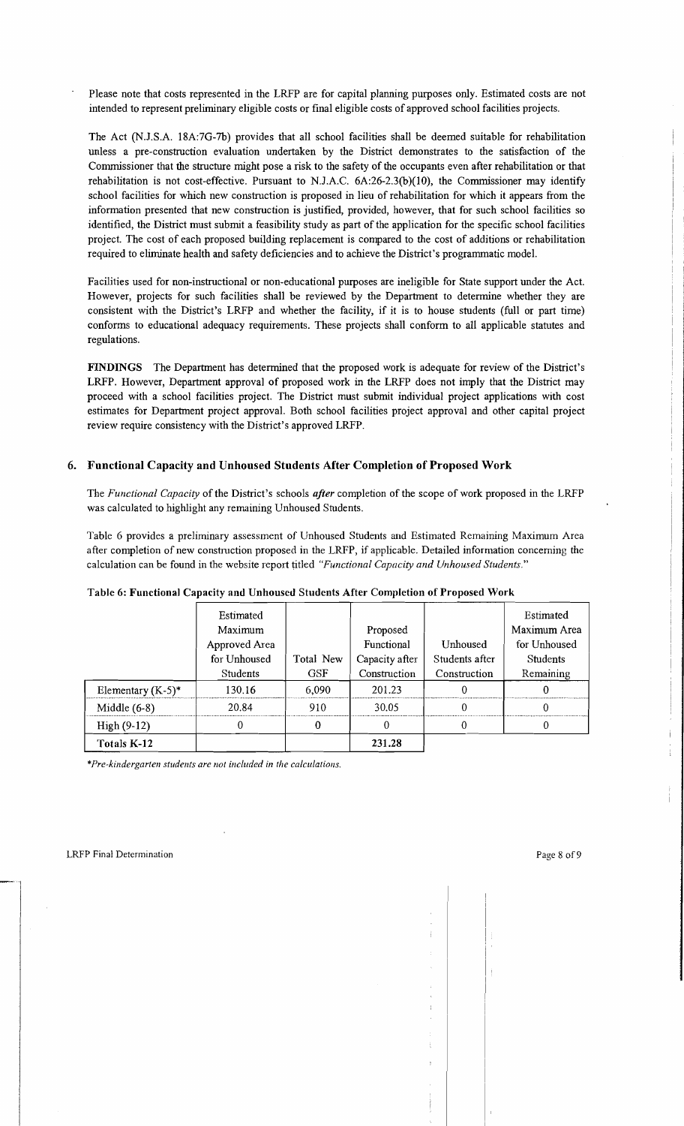Please note that costs represented in the LRFP are for capital planning purposes only. Estimated costs are not intended to represent preliminary eligible costs or [mal eligible costs of approved school facilities projects.

The Act (N.J.S.A. 18A:7G-7b) provides that all school facilities shall be deemed suitable for rehabilitation unless a pre-construction evaluation undertaken by the District demonstrates to the satisfaction of the Commissioner that the structure might pose a risk to the safety of the occupants even after rehabilitation or that rehabilitation is not cost-effective. Pursuant to NJ.A.C. 6A:26-2.3(b)(1O), the Commissioner may identify school facilities for which new construction is proposed in lieu of rehabilitation for which it appears from the information presented that new construction is justified, provided, however, that for such school facilities so identified, the District must submit a feasibility study as part of the application for the specific school facilities project. The cost of each proposed building replacement is compared to the cost of additions or rehabilitation required to eliminate health and safety deficiencies and to achieve the District's programmatic model.

Facilities used for non-instructional or non-educational purposes are ineligible for State support under the Act. However, projects for such facilities shall be reviewed by the Department to determine whether they are consistent with the District's LRFP and whether the facility, if it is to house students (full or part time) conforms to educational adequacy requirements. These projects shall conform to all applicable statutes and regulations.

FINDINGS The Department has determined that the proposed work is adequate for review of the District's LRFP. However, Department approval of proposed work in the LRFP does not imply that the District may proceed with a school facilities project. The District must submit individual project applications with cost estimates for Department project approval. Both school facilities project approval and other capital project review require consistency with the District's approved LRFP.

# 6. Functional Capacity and Unhoused Students After Completion of Proposed Work

The *Functional Capacity* of the District's schools *after* completion of the scope of work proposed in the LRFP was calculated to highlight any remaining Unhoused Students.

Table 6 provides a preliminary assessment of Unhoused Students and Estimated Remaining Maximum Area after completion of new construction proposed in the LRFP, if applicable. Detailed information concerning the calculation can be found in the website report titled *"Functional Capacity and Unhoused Students."* 

|                      | Estimated     |            |                |                | Estimated       |
|----------------------|---------------|------------|----------------|----------------|-----------------|
|                      | Maximum       |            | Proposed       |                | Maximum Area    |
|                      | Approved Area |            | Functional     | Unhoused       | for Unhoused    |
|                      | for Unhoused  | Total New  | Capacity after | Students after | <b>Students</b> |
|                      | Students      | <b>GSF</b> | Construction   | Construction   | Remaining       |
| Elementary $(K-5)^*$ | 130.16        | 6,090      | 201.23         |                |                 |
| Middle $(6-8)$       | 20.84         | 910        | 30.05          |                |                 |
| $High(9-12)$         |               | 0          |                |                |                 |
| Totals K-12          |               |            | 231.28         |                |                 |

#### Table 6: Functional Capacity and Unhoused Students After Completion of Proposed Work

*\*Pre-kindergarten students are 1I0t included in the calculations.*